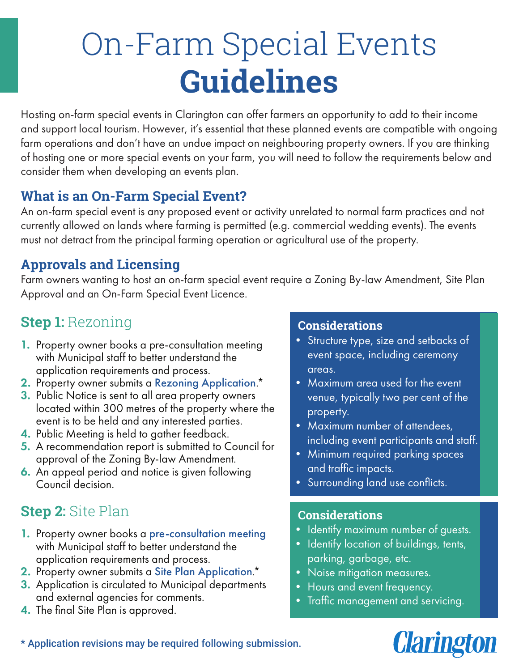# On-Farm Special Events **Guidelines**

Hosting on-farm special events in Clarington can offer farmers an opportunity to add to their income and support local tourism. However, it's essential that these planned events are compatible with ongoing farm operations and don't have an undue impact on neighbouring property owners. If you are thinking of hosting one or more special events on your farm, you will need to follow the requirements below and consider them when developing an events plan.

## **What is an On-Farm Special Event?**

An on-farm special event is any proposed event or activity unrelated to normal farm practices and not currently allowed on lands where farming is permitted (e.g. commercial wedding events). The events must not detract from the principal farming operation or agricultural use of the property.

## **Approvals and Licensing**

Farm owners wanting to host an on-farm special event require a Zoning By-law Amendment, Site Plan Approval and an On-Farm Special Event Licence.

# **Step 1:** Rezoning

- **1.** Property owner books a pre-consultation meeting with Municipal staff to better understand the application requirements and process.
- 2. Property owner submits a Rezoning Application.<sup>\*</sup>
- **3.** Public Notice is sent to all area property owners located within 300 metres of the property where the event is to be held and any interested parties.
- 4. Public Meeting is held to gather feedback.
- 5. A recommendation report is submitted to Council for approval of the Zoning By-law Amendment.
- **6.** An appeal period and notice is given following Council decision.

# **Step 2:** Site Plan

- 1. Property owner books a pre-consultation meeting with Municipal staff to better understand the application requirements and process.
- 2. Property owner submits a Site Plan Application.<sup>\*</sup>
- **3.** Application is circulated to Municipal departments and external agencies for comments.
- 4. The final Site Plan is approved.

### **Considerations**

- Structure type, size and setbacks of event space, including ceremony areas.
- Maximum area used for the event venue, typically two per cent of the property.
- Maximum number of attendees, including event participants and staff.
- Minimum required parking spaces and traffic impacts.
- Surrounding land use conflicts.

#### **Considerations**

- Identify maximum number of guests.
- Identify location of buildings, tents, parking, garbage, etc.
- Noise mitigation measures.
- Hours and event frequency.
- Traffic management and servicing.



\* Application revisions may be required following submission.